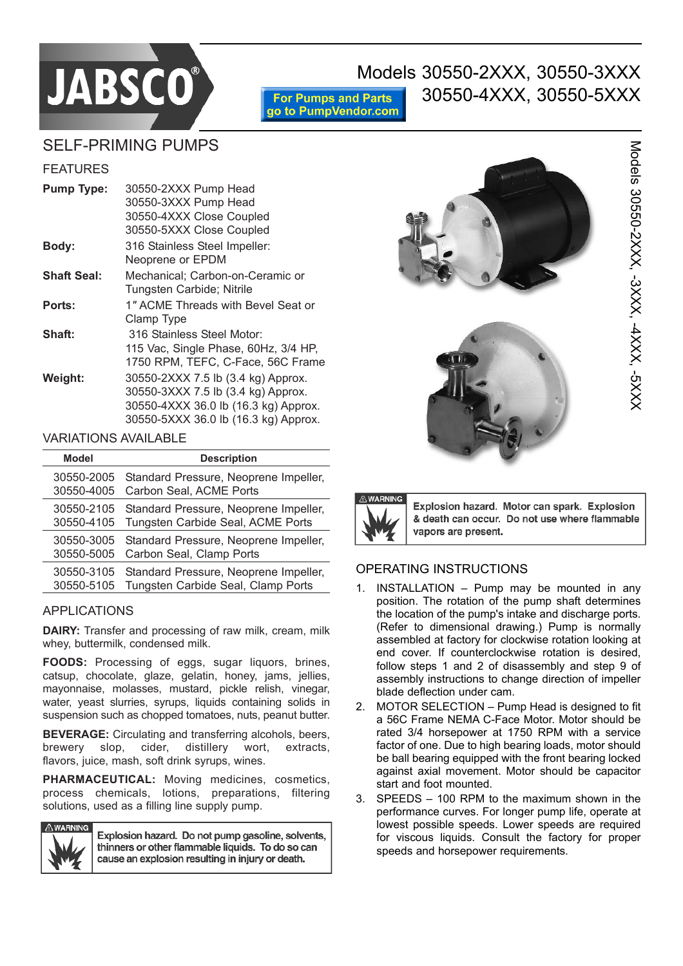

# Models 30550-2XXX, 30550-3XXX

**For Pumps and Parts** go to PumpVendor.com

## 30550-4XXX, 30550-5XXX

### SELF-PRIMING PUMPS

#### FEATURES

| <b>Pump Type:</b>  | 30550-2XXX Pump Head                 |
|--------------------|--------------------------------------|
|                    | 30550-3XXX Pump Head                 |
|                    | 30550-4XXX Close Coupled             |
|                    | 30550-5XXX Close Coupled             |
| Body:              | 316 Stainless Steel Impeller:        |
|                    | Neoprene or EPDM                     |
| <b>Shaft Seal:</b> | Mechanical; Carbon-on-Ceramic or     |
|                    | Tungsten Carbide; Nitrile            |
| Ports:             | 1" ACME Threads with Bevel Seat or   |
|                    | Clamp Type                           |
| Shaft:             | 316 Stainless Steel Motor:           |
|                    | 115 Vac, Single Phase, 60Hz, 3/4 HP, |
|                    | 1750 RPM, TEFC, C-Face, 56C Frame    |
| Weight:            | 30550-2XXX 7.5 lb (3.4 kg) Approx.   |
|                    | 30550-3XXX 7.5 lb (3.4 kg) Approx.   |
|                    | 30550-4XXX 36.0 lb (16.3 kg) Approx. |
|                    | 30550-5XXX 36.0 lb (16.3 kg) Approx. |

#### VARIATIONS AVAILABLE

| Model      | <b>Description</b>                    |
|------------|---------------------------------------|
| 30550-2005 | Standard Pressure, Neoprene Impeller, |
| 30550-4005 | Carbon Seal, ACME Ports               |
| 30550-2105 | Standard Pressure, Neoprene Impeller, |
| 30550-4105 | Tungsten Carbide Seal, ACME Ports     |
| 30550-3005 | Standard Pressure, Neoprene Impeller, |
| 30550-5005 | Carbon Seal, Clamp Ports              |
| 30550-3105 | Standard Pressure, Neoprene Impeller, |
| 30550-5105 | Tungsten Carbide Seal, Clamp Ports    |

#### APPLICATIONS

**DAIRY:** Transfer and processing of raw milk, cream, milk whey, buttermilk, condensed milk.

**FOODS:** Processing of eggs, sugar liquors, brines, catsup, chocolate, glaze, gelatin, honey, jams, jellies, mayonnaise, molasses, mustard, pickle relish, vinegar, water, yeast slurries, syrups, liquids containing solids in suspension such as chopped tomatoes, nuts, peanut butter.

**BEVERAGE:** Circulating and transferring alcohols, beers, brewery slop, cider, distillery wort, extracts, flavors, juice, mash, soft drink syrups, wines.

**PHARMACEUTICAL:** Moving medicines, cosmetics, process chemicals, lotions, preparations, filtering solutions, used as a filling line supply pump.



Explosion hazard. Do not pump gasoline, solvents, thinners or other flammable liquids. To do so can cause an explosion resulting in injury or death.







Explosion hazard. Motor can spark. Explosion & death can occur. Do not use where flammable vapors are present.

#### OPERATING INSTRUCTIONS

- 1. INSTALLATION  $-$  Pump may be mounted in any position. The rotation of the pump shaft determines the location of the pump's intake and discharge ports. (Refer to dimensional drawing.) Pump is normally assembled at factory for clockwise rotation looking at end cover. If counterclockwise rotation is desired, follow steps 1 and 2 of disassembly and step 9 of assembly instructions to change direction of impeller blade deflection under cam.
- 2. MOTOR SELECTION Pump Head is designed to fit a 56C Frame NEMA C-Face Motor. Motor should be rated 3/4 horsepower at 1750 RPM with a service factor of one. Due to high bearing loads, motor should be ball bearing equipped with the front bearing locked against axial movement. Motor should be capacitor start and foot mounted.
- $3.$  SPEEDS  $-100$  RPM to the maximum shown in the performance curves. For longer pump life, operate at lowest possible speeds. Lower speeds are required for viscous liquids. Consult the factory for proper speeds and horsepower requirements.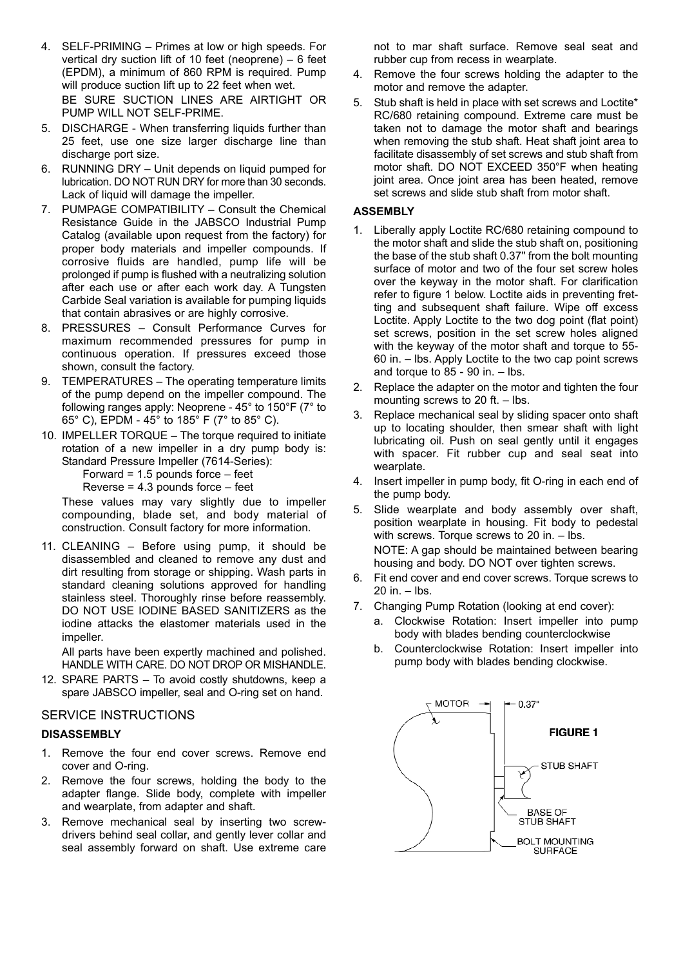- 4. SELF-PRIMING Primes at low or high speeds. For vertical dry suction lift of 10 feet (neoprene)  $-6$  feet (EPDM), a minimum of 860 RPM is required. Pump will produce suction lift up to 22 feet when wet. BE SURE SUCTION LINES ARE AIRTIGHT OR PUMP WILL NOT SELF-PRIME.
- 5. DISCHARGE When transferring liquids further than 25 feet, use one size larger discharge line than discharge port size.
- 6. RUNNING DRY Unit depends on liquid pumped for lubrication. DO NOT RUN DRY for more than 30 seconds. Lack of liquid will damage the impeller.
- 7. PUMPAGE COMPATIBILITY  $-$  Consult the Chemical Resistance Guide in the JABSCO Industrial Pump Catalog (available upon request from the factory) for proper body materials and impeller compounds. If corrosive fluids are handled, pump life will be prolonged if pump is flushed with a neutralizing solution after each use or after each work day. A Tungsten Carbide Seal variation is available for pumping liquids that contain abrasives or are highly corrosive.
- 8. PRESSURES Consult Performance Curves for maximum recommended pressures for pump in continuous operation. If pressures exceed those shown, consult the factory.
- 9. TEMPERATURES The operating temperature limits of the pump depend on the impeller compound. The following ranges apply: Neoprene - 45° to 150°F (7° to 65° C), EPDM - 45° to 185° F (7° to 85° C).
- 10. IMPELLER TORQUE The torque required to initiate rotation of a new impeller in a dry pump body is: Standard Pressure Impeller (7614-Series): Forward =  $1.5$  pounds force  $-$  feet

Reverse =  $4.3$  pounds force  $-$  feet

These values may vary slightly due to impeller compounding, blade set, and body material of construction. Consult factory for more information.

11. CLEANING  $-$  Before using pump, it should be disassembled and cleaned to remove any dust and dirt resulting from storage or shipping. Wash parts in standard cleaning solutions approved for handling stainless steel. Thoroughly rinse before reassembly. DO NOT USE IODINE BASED SANITIZERS as the iodine attacks the elastomer materials used in the impeller.

All parts have been expertly machined and polished. HANDLE WITH CARE. DO NOT DROP OR MISHANDLE.

12. SPARE PARTS  $-$  To avoid costly shutdowns, keep a spare JABSCO impeller, seal and O-ring set on hand.

#### SERVICE INSTRUCTIONS

#### **DISASSEMBLY**

- 1. Remove the four end cover screws. Remove end cover and O-ring.
- 2. Remove the four screws, holding the body to the adapter flange. Slide body, complete with impeller and wearplate, from adapter and shaft.
- 3. Remove mechanical seal by inserting two screwdrivers behind seal collar, and gently lever collar and seal assembly forward on shaft. Use extreme care

not to mar shaft surface. Remove seal seat and rubber cup from recess in wearplate.

- 4. Remove the four screws holding the adapter to the motor and remove the adapter.
- 5. Stub shaft is held in place with set screws and Loctite\* RC/680 retaining compound. Extreme care must be taken not to damage the motor shaft and bearings when removing the stub shaft. Heat shaft joint area to facilitate disassembly of set screws and stub shaft from motor shaft. DO NOT EXCEED 350°F when heating joint area. Once joint area has been heated, remove set screws and slide stub shaft from motor shaft.

#### **ASSEMBLY**

- 1. Liberally apply Loctite RC/680 retaining compound to the motor shaft and slide the stub shaft on, positioning the base of the stub shaft 0.37" from the bolt mounting surface of motor and two of the four set screw holes over the keyway in the motor shaft. For clarification refer to figure 1 below. Loctite aids in preventing fretting and subsequent shaft failure. Wipe off excess Loctite. Apply Loctite to the two dog point (flat point) set screws, position in the set screw holes aligned with the keyway of the motor shaft and torque to 55- 60 in. – Ibs. Apply Loctite to the two cap point screws and torque to  $85 - 90$  in.  $-$  lbs.
- 2. Replace the adapter on the motor and tighten the four mounting screws to 20 ft.  $-$  lbs.
- 3. Replace mechanical seal by sliding spacer onto shaft up to locating shoulder, then smear shaft with light lubricating oil. Push on seal gently until it engages with spacer. Fit rubber cup and seal seat into wearplate.
- 4. Insert impeller in pump body, fit O-ring in each end of the pump body.
- 5. Slide wearplate and body assembly over shaft, position wearplate in housing. Fit body to pedestal with screws. Torque screws to  $20$  in.  $-$  lbs. NOTE: A gap should be maintained between bearing housing and body. DO NOT over tighten screws.
- 6. Fit end cover and end cover screws. Torque screws to  $20$  in.  $-$  lbs.
- 7. Changing Pump Rotation (looking at end cover):
	- a. Clockwise Rotation: Insert impeller into pump body with blades bending counterclockwise
	- b. Counterclockwise Rotation: Insert impeller into pump body with blades bending clockwise.

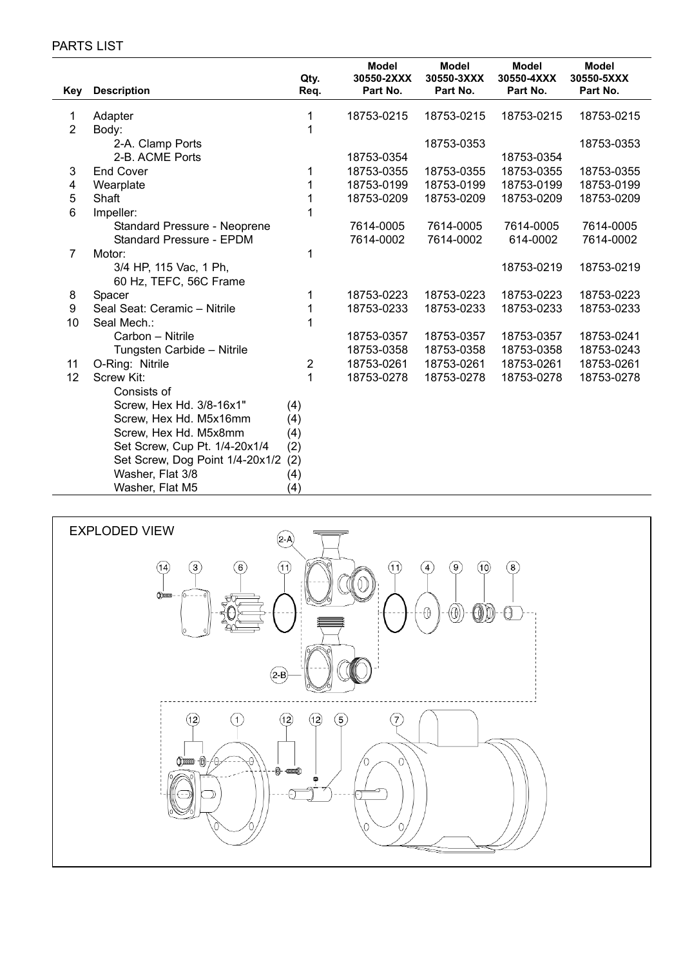#### PARTS LIST

|                |                                 |     | Qty.           | <b>Model</b><br>30550-2XXX | <b>Model</b><br>30550-3XXX | <b>Model</b><br>30550-4XXX | <b>Model</b><br>30550-5XXX |
|----------------|---------------------------------|-----|----------------|----------------------------|----------------------------|----------------------------|----------------------------|
| Key            | <b>Description</b>              |     | Req.           | Part No.                   | Part No.                   | Part No.                   | Part No.                   |
| 1              | Adapter                         |     | 1              | 18753-0215                 | 18753-0215                 | 18753-0215                 | 18753-0215                 |
| $\overline{2}$ | Body:                           |     | 1              |                            |                            |                            |                            |
|                | 2-A. Clamp Ports                |     |                |                            | 18753-0353                 |                            | 18753-0353                 |
|                | 2-B. ACME Ports                 |     |                | 18753-0354                 |                            | 18753-0354                 |                            |
| 3              | <b>End Cover</b>                |     | 1              | 18753-0355                 | 18753-0355                 | 18753-0355                 | 18753-0355                 |
| 4              | Wearplate                       |     | 1              | 18753-0199                 | 18753-0199                 | 18753-0199                 | 18753-0199                 |
| 5              | Shaft                           |     | 1              | 18753-0209                 | 18753-0209                 | 18753-0209                 | 18753-0209                 |
| 6              | Impeller:                       |     | 1              |                            |                            |                            |                            |
|                | Standard Pressure - Neoprene    |     |                | 7614-0005                  | 7614-0005                  | 7614-0005                  | 7614-0005                  |
|                | Standard Pressure - EPDM        |     |                | 7614-0002                  | 7614-0002                  | 614-0002                   | 7614-0002                  |
| $\overline{7}$ | Motor:                          |     | 1              |                            |                            |                            |                            |
|                | 3/4 HP, 115 Vac, 1 Ph,          |     |                |                            |                            | 18753-0219                 | 18753-0219                 |
|                | 60 Hz, TEFC, 56C Frame          |     |                |                            |                            |                            |                            |
| 8              | Spacer                          |     | 1              | 18753-0223                 | 18753-0223                 | 18753-0223                 | 18753-0223                 |
| 9              | Seal Seat: Ceramic - Nitrile    |     | 1              | 18753-0233                 | 18753-0233                 | 18753-0233                 | 18753-0233                 |
| 10             | Seal Mech.:                     |     | 1              |                            |                            |                            |                            |
|                | Carbon - Nitrile                |     |                | 18753-0357                 | 18753-0357                 | 18753-0357                 | 18753-0241                 |
|                | Tungsten Carbide - Nitrile      |     |                | 18753-0358                 | 18753-0358                 | 18753-0358                 | 18753-0243                 |
| 11             | O-Ring: Nitrile                 |     | $\overline{2}$ | 18753-0261                 | 18753-0261                 | 18753-0261                 | 18753-0261                 |
| 12             | Screw Kit:                      |     | 1              | 18753-0278                 | 18753-0278                 | 18753-0278                 | 18753-0278                 |
|                | Consists of                     |     |                |                            |                            |                            |                            |
|                | Screw, Hex Hd. 3/8-16x1"        | (4) |                |                            |                            |                            |                            |
|                | Screw, Hex Hd. M5x16mm          | (4) |                |                            |                            |                            |                            |
|                | Screw, Hex Hd. M5x8mm           | (4) |                |                            |                            |                            |                            |
|                | Set Screw, Cup Pt. 1/4-20x1/4   | (2) |                |                            |                            |                            |                            |
|                | Set Screw, Dog Point 1/4-20x1/2 | (2) |                |                            |                            |                            |                            |
|                | Washer, Flat 3/8                | (4) |                |                            |                            |                            |                            |
|                | Washer, Flat M5                 | (4) |                |                            |                            |                            |                            |